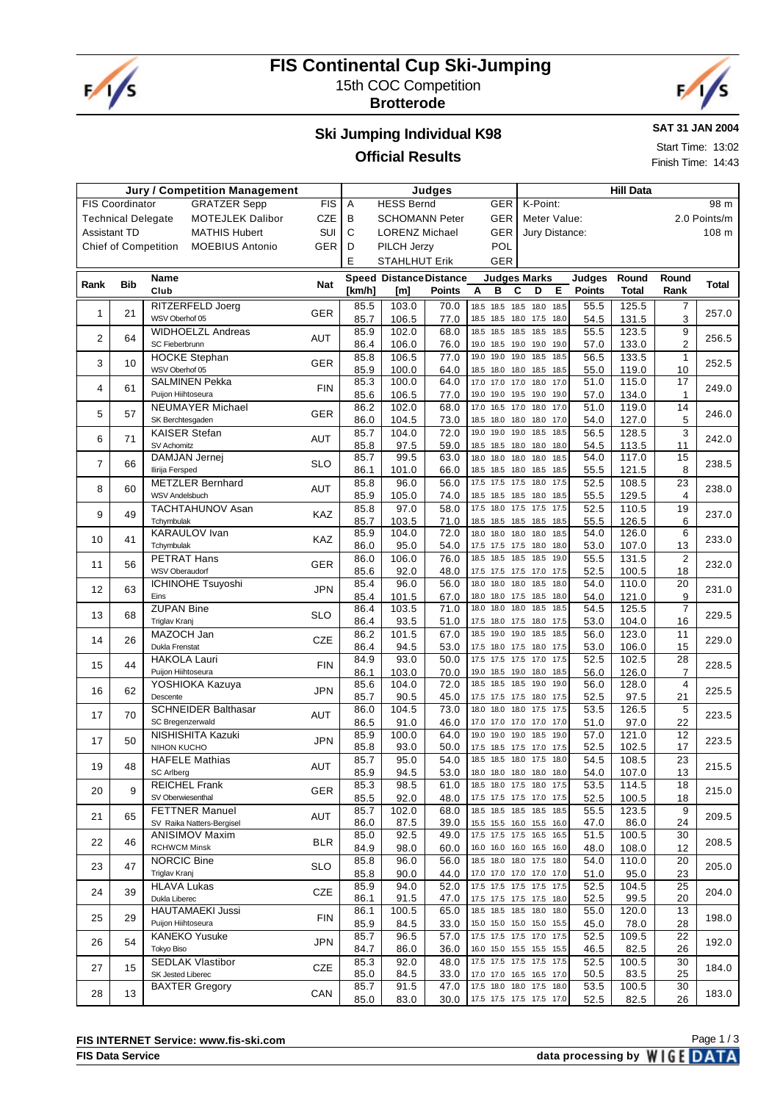

## **FIS Continental Cup Ski-Jumping** 15th COC Competition

**Brotterode**



#### **Ski Jumping Individual K98 Official Results**

**SAT 31 JAN 2004**

Start Time: 13:02 Finish Time: 14:43

#### **Jury / Competition Management Judges Hill Data** FIS Coordinator GRATZER Sepp FIS Technical Delegate MOTEJLEK Dalibor CZE Assistant TD MATHIS Hubert SUI Chief of Competition MOEBIUS Antonio GER A HESS Bernd GER B SCHOMANN Peter GER C LORENZ Michael GER D PILCH Jerzy POL E STAHLHUT Erik GER K-Point: 98 m Meter Value: 2.0 Points/m Jury Distance: 108 m **Rank Bib Name Club Nat Speed [km/h] Distance Distance [m] Points Judges Marks A B C D E Judges Points Round Total Round Rank Total** 1 21 RITZERFELD Joerg RITZERFELD Joerg GER 85.5 103.0 70.0 18.5 18.5 18.5 18.0 18.5 55.5 125.5 7 257.0<br>WSV Oberhof 05 85.7 106.5 77.0 18.5 18.5 18.0 17.5 18.0 54.5 131.5 3 257.0 85.7 | 106.5 | 77.0 | 18.5 18.5 18.0 17.5 18.0 | 54.5 | 131.5 | 3 2 64 WIDHOELZL Andreas SC Fieberbrunn AUT 256.5 85.9 102.0 68.0 18.5 18.5 18.5 18.5 18.5 55.5 123.5 <sup>9</sup> 86.4 | 106.0 | 76.0 | 19.0 18.5 19.0 19.0 | 19.0 | 57.0 | 133.0 | 2 3 10 HOCKE Stephan WSV Oberhof 05 GER 85.8 106.5 77.0 19.0 19.0 19.0 18.5 18.5 56.5 133.5 1<br>65.9 100.0 64.0 18.5 18.0 18.0 18.5 18.5 55.0 119.0 10 252.5 18.5 18.0 18.0 18.5 18.5 4 61 SALMINEN Pekka 115.0 | 115.0 | 115.0 | 115.0 | 115.0 | 115.0 | 115.0 | 17.0 | 17.0 17.0 17.0 17.0 | 17.0 | 17.0 | 17.0 | 17.<br>12.49.0 | 134.0 | 115.0 | 115.0 | 106.5 | 106.5 | 17.0 | 19.0 19.0 19.0 | 19.0 | 10.0 | 134.0 | 10.0 | 10.0 | 85.6 106.5 77.0 19.0 19.0 19.5 19.0 19.0 57.0 134.0 1 5 57 NEUMAYER Michael SK Berchtesgaden GER 246.0 86.2 102.0 68.0 17.0 16.5 17.0 18.0 17.0 51.0 119.0 <sup>14</sup> 86.0 104.5 73.0 185 180 180 180 17.0 54.0 127.0 5 6 71 KAISER Stefan SV Achomitz AUT 85.7 104.0 72.0 19.0 19.0 19.0 18.5 18.5 18.5 18.6 128.5 3 3 242.0 18.5 18.5 18.0 18.0 18.0 7 66 DAMJAN Jernej Ilirija Fersped SLO 238.5 85.7 99.5 63.0 18.0 18.0 18.0 18.0 18.5 54.0 117.0 <sup>15</sup> 86.1 | 101.0 | 66.0 | 18.5 18.5 18.0 18.5 18.5 | 55.5 | 121.5 | 8 8 60 METZLER Bernhard WSV Andelsbuch AUT 85.8 96.0 56.0 17.5 17.5 18.0 17.5 52.5 108.5 23 238.0 18.5 18.5 18.5 18.0 18.5 9 49 TACHTAHUNOV Asan **Tchymbulak** KAZ 85.8 97.0 58.0 17.5 18.0 17.5 17.5 17.5 52.5 110.5 19 237.0<br>85.7 103.5 71.0 18.5 18.5 18.5 18.5 18.5 55.5 126.5 6 237.0 18.5 18.5 18.5 10 41 KARAULOV Ivan Tchymbulak KAZ 233.0 85.9 104.0 72.0 18.0 18.0 18.0 18.0 18.5 54.0 126.0 <sup>6</sup> 86.0 95.0 54.0 7.5 17.5 17.5 18.0 18.0 53.0 107.0 13  $\overline{11}$  56 PETRAT Hans WSV Oberaudorf GER 86.0 106.0 76.0 18.5 18.5 18.5 19.0 55.5 131.5 2 232.0 175.175 176 175 12 63 CHINOHE Tsuyoshi Eins JPN 85.4 96.0 56.0 18.0 18.0 18.0 18.5 18.0 54.0 110.0 20 231.0 18.0 18.0 17.5 18.5 18.0 13 68 ZUPAN Bine Triglav Kranj SLO 229.5 86.4 103.5 71.0 18.0 18.0 18.0 18.5 18.5 54.5 125.5 <sup>7</sup> 86.4 93.5 51.0 17.5 18.0 17.5 18.0 17.5 53.0 104.0 16  $\begin{array}{|c|c|c|c|}\n\hline\n14 & 26 & \text{MAZOCH Jan}\n\end{array}$ Dukla Frenstat  $CZE$  26.2 101.5 67.0 18.5 19.0 19.0 18.5 18.5 56.0 123.0 11 229.0 86.4 | 94.5 | 53.0 17.5 18.0 17.5 18.0 17.5 | 53.0 | 106.0 | 15 15 44 HAKOLA Lauri Puijon Hiihtoseura FIN 228.5 84.9 93.0 50.0 17.5 17.5 17.5 17.0 17.5 52.5 102.5 <sup>28</sup> 86.1 103.0 70.0 19.0 18.5 19.0 18.0 18.5 56.0 126.0 7<br>85.6 104.0 72.0 18.5 18.5 18.5 19.0 19.0 56.0 128.0 4 16 62 YOSHIOKA Kazuya Descente JPN 225.5 85.6 104.0 72.0 18.5 18.5 18.5 19.0 19.0 56.0 128.0 <sup>4</sup> 85.7 90.5 45.0 17.5 17.5 17.5 18.0 17.5 52.5 97.5 31 17 70 SCHNEIDER Balthasar SC Bregenzerwald AUT 86.0 104.5 73.0 18.0 18.0 18.0 17.5 17.5 53.5 126.5 5 223.5<br>86.5 91.0 46.0 17.0 17.0 17.0 17.0 17.0 97.0 22 223.5 17.0 17.0 17.0 17.0 17 50 NISHISHITA Kazuki NIHON KUCHO  $JPN$  85.9 100.0 64.0 19.0 19.0 19.0 18.5 19.0 57.0 121.0 12 223.5 85.8 93.0 50.0 175 185 175 170 175 52.5 102.5 7 19 48 HAFELE Mathias SC Arlberg AUT 215.5 85.7 95.0 54.0 18.5 18.5 18.0 17.5 18.0 54.5 108.5 <sup>23</sup> 85.9 94.5 53.0 18.0 18.0 18.0 18.0 18.0 54.0 107.0 3  $20 \mid 9$ REICHEL Frank SV Oberwiesenthal GER 215.0 85.3 98.5 61.0 18.5 18.0 17.5 18.0 17.5 53.5 114.5 <sup>18</sup>  $85.5$  92.0 48.0 17.5 17.5 17.5 17.0 17.5 52.5 100.5 18  $21 \n\begin{array}{|c|c|} \n65 \n\end{array}$  FETTNER Manuel SV Raika Natters-Bergisel AUT 85.7 102.0 68.0 18.5 18.5 18.5 18.5 18.5 15.5 123.5 9 209.5 15.5 15.5 16.0 15.5 16.0 22 46 ANISIMOV Maxim RCHWCM Minsk BLR 208.5 85.0 92.5 49.0 17.5 17.5 17.5 16.5 16.5 51.5 100.5 <sup>30</sup> 84.9 98.0 60.0 16.0 16.0 16.0 16.5 16.0 48.0 108.0 12  $\overline{23}$   $\overline{47}$  NORCIC Bine Triglav Kranj SLO 85.8 96.0 56.0 18.5 18.0 18.0 17.5 18.0 54.0 110.0 20 205.0 85.8 90.0 44.0 17.0 17.0 17.0 17.0 17.0 51.0 95.0 23 205.0 17.0 17.0 17.0 17.0 24 39 HLAVA Lukas Dukla Libere CZE 85.9 94.0 52.0 175 175 175 175 175 52.5 104.5 25 204.0 17.5 17.5 17.5 18.0 25 29 HAUTAMAEKI Jussi Puijon Hiihtoseura FIN 198.0 86.1 100.5 65.0 18.5 18.5 18.5 18.0 18.0 55.0 120.0 <sup>13</sup> 85.9 84.5 33.0 15.0 15.0 15.0 15.0 15.5 45.0 78.0 28 26 54 KANEKO Yusuke Tokyo Biso JPN 85.7 96.5 57.0 17.5 17.5 17.0 17.5 52.5 109.5 22 192.0 16.0 15.0 15.5 15.5 15.5 27 15 SEDLAK Vlastibor SK Jested Liberec CZE 85.3 92.0 48.0 17.5 17.5 17.5 17.5 17.5 52.5 100.5 30 184.0 17.0 17.0 16.5 16.5 17.0 28 13 BAXTER Gregory CAN 85.7 91.5 47.0 17.5 18.0 18.0 17.5 18.0 53.5 100.5 30 18.0 85.0 83.0 30.0 17.5 17.5 17.5 17.5 17.0 52.5 82.5 326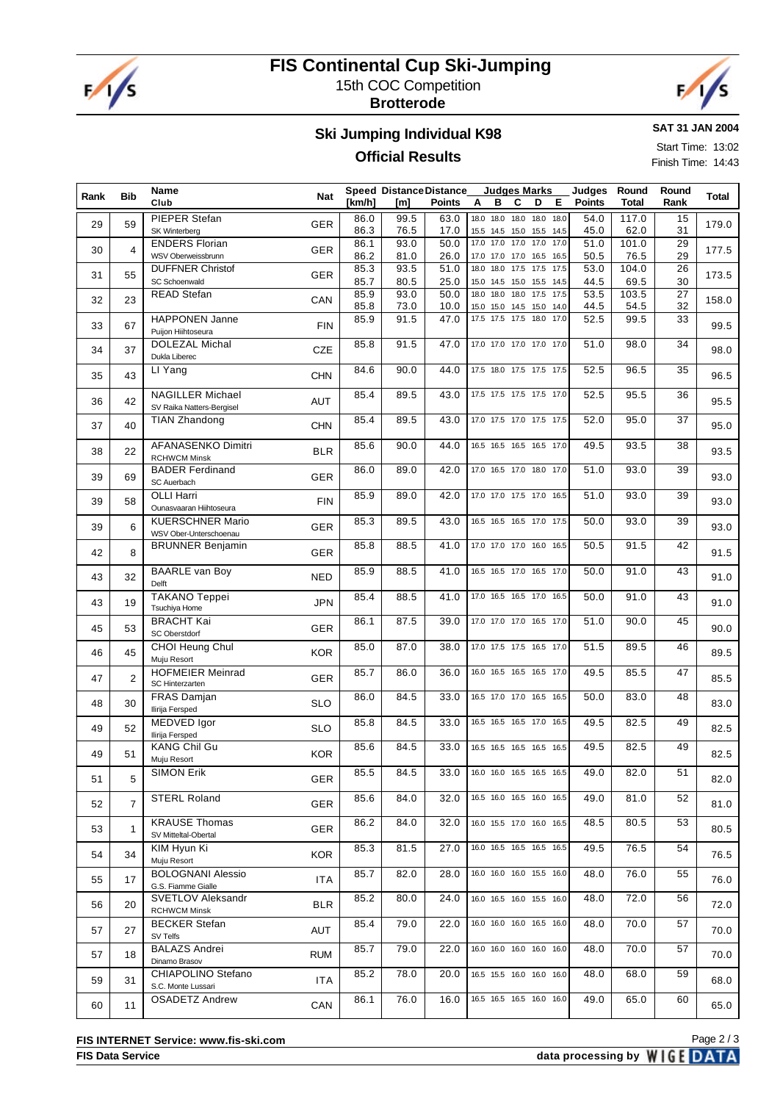

# **FIS Continental Cup Ski-Jumping** 15th COC Competition





### **Ski Jumping Individual K98 Official Results**

**SAT 31 JAN 2004**

Start Time: 13:02 Finish Time: 14:43

| Rank | <b>Bib</b>     | Name                                                 |            |              | <b>Speed Distance Distance</b> |              | <b>Judges Marks</b>                                       |           | Judges        | Round         | Round    | Total |
|------|----------------|------------------------------------------------------|------------|--------------|--------------------------------|--------------|-----------------------------------------------------------|-----------|---------------|---------------|----------|-------|
|      |                | Club                                                 | <b>Nat</b> | [km/h]       | [m]                            | Points       | в<br>C<br>D<br>A                                          | Е         | <b>Points</b> | <b>Total</b>  | Rank     |       |
| 29   | 59             | PIEPER Stefan<br>SK Winterberg                       | <b>GER</b> | 86.0<br>86.3 | 99.5<br>76.5                   | 63.0<br>17.0 | 18.0 18.0<br>18.0<br>15.5 14.5 15.0 15.5 14.5             | 18.0 18.0 | 54.0<br>45.0  | 117.0<br>62.0 | 15<br>31 | 179.0 |
| 30   | 4              | <b>ENDERS Florian</b><br>WSV Oberweissbrunn          | <b>GER</b> | 86.1<br>86.2 | 93.0<br>81.0                   | 50.0<br>26.0 | 17.0<br>17.0 17.0 17.0 17.0<br>17.0 17.0 17.0 16.5 16.5   |           | 51.0<br>50.5  | 101.0<br>76.5 | 29<br>29 | 177.5 |
| 31   | 55             | <b>DUFFNER Christof</b><br><b>SC Schoenwald</b>      | <b>GER</b> | 85.3<br>85.7 | 93.5<br>80.5                   | 51.0<br>25.0 | $17.5$ $17.5$<br>18.0<br>18.0<br>15.0 14.5 15.0 15.5 14.5 | 17.5      | 53.0<br>44.5  | 104.0<br>69.5 | 26<br>30 | 173.5 |
| 32   | 23             | <b>READ Stefan</b>                                   | CAN        | 85.9<br>85.8 | 93.0<br>73.0                   | 50.0<br>10.0 | 18.0 18.0 17.5 17.5<br>18.0<br>15.0 14.5 15.0 14.0        |           | 53.5<br>44.5  | 103.5<br>54.5 | 27<br>32 | 158.0 |
| 33   | 67             | <b>HAPPONEN Janne</b><br>Puijon Hiihtoseura          | <b>FIN</b> | 85.9         | 91.5                           | 47.0         | 15.0<br>17.5 17.5 17.5                                    | 18.0 17.0 | 52.5          | 99.5          | 33       | 99.5  |
| 34   | 37             | <b>DOLEZAL Michal</b><br>Dukla Liberec               | <b>CZE</b> | 85.8         | 91.5                           | 47.0         | 17.0 17.0 17.0 17.0 17.0                                  |           | 51.0          | 98.0          | 34       | 98.0  |
| 35   | 43             | LI Yang                                              | <b>CHN</b> | 84.6         | 90.0                           | 44.0         | 17.5 18.0 17.5 17.5 17.5                                  |           | 52.5          | 96.5          | 35       | 96.5  |
| 36   | 42             | <b>NAGILLER Michael</b><br>SV Raika Natters-Bergisel | AUT        | 85.4         | 89.5                           | 43.0         | 17.5 17.5 17.5 17.5 17.0                                  |           | 52.5          | 95.5          | 36       | 95.5  |
| 37   | 40             | <b>TIAN Zhandong</b>                                 | <b>CHN</b> | 85.4         | 89.5                           | 43.0         | 17.0 17.5 17.0 17.5 17.5                                  |           | 52.0          | 95.0          | 37       | 95.0  |
| 38   | 22             | AFANASENKO Dimitri<br><b>RCHWCM Minsk</b>            | <b>BLR</b> | 85.6         | 90.0                           | 44.0         | 16.5 16.5 16.5 16.5 17.0                                  |           | 49.5          | 93.5          | 38       | 93.5  |
| 39   | 69             | <b>BADER Ferdinand</b><br>SC Auerbach                | <b>GER</b> | 86.0         | 89.0                           | 42.0         | 17.0 16.5 17.0 18.0 17.0                                  |           | 51.0          | 93.0          | 39       | 93.0  |
| 39   | 58             | <b>OLLI Harri</b><br>Ounasvaaran Hiihtoseura         | <b>FIN</b> | 85.9         | 89.0                           | 42.0         | 17.0 17.0 17.5 17.0 16.5                                  |           | 51.0          | 93.0          | 39       | 93.0  |
| 39   | 6              | <b>KUERSCHNER Mario</b><br>WSV Ober-Unterschoenau    | <b>GER</b> | 85.3         | 89.5                           | 43.0         | 16.5 16.5 16.5 17.0 17.5                                  |           | 50.0          | 93.0          | 39       | 93.0  |
| 42   | 8              | <b>BRUNNER Benjamin</b>                              | <b>GER</b> | 85.8         | 88.5                           | 41.0         | 17.0 17.0 17.0 16.0 16.5                                  |           | 50.5          | 91.5          | 42       | 91.5  |
| 43   | 32             | <b>BAARLE</b> van Boy<br>Delft                       | <b>NED</b> | 85.9         | 88.5                           | 41.0         | 16.5 16.5 17.0 16.5 17.0                                  |           | 50.0          | 91.0          | 43       | 91.0  |
| 43   | 19             | <b>TAKANO Teppei</b><br>Tsuchiya Home                | <b>JPN</b> | 85.4         | 88.5                           | 41.0         | 17.0 16.5 16.5 17.0 16.5                                  |           | 50.0          | 91.0          | 43       | 91.0  |
| 45   | 53             | <b>BRACHT Kai</b><br>SC Oberstdorf                   | <b>GER</b> | 86.1         | 87.5                           | 39.0         | 17.0 17.0 17.0 16.5 17.0                                  |           | 51.0          | 90.0          | 45       | 90.0  |
| 46   | 45             | CHOI Heung Chul<br>Muju Resort                       | <b>KOR</b> | 85.0         | 87.0                           | 38.0         | 17.0 17.5 17.5 16.5 17.0                                  |           | 51.5          | 89.5          | 46       | 89.5  |
| 47   | 2              | <b>HOFMEIER Meinrad</b><br>SC Hinterzarten           | <b>GER</b> | 85.7         | 86.0                           | 36.0         | 16.0 16.5 16.5 16.5 17.0                                  |           | 49.5          | 85.5          | 47       | 85.5  |
| 48   | 30             | FRAS Damjan<br>Ilirija Fersped                       | <b>SLO</b> | 86.0         | 84.5                           | 33.0         | 16.5 17.0 17.0 16.5 16.5                                  |           | 50.0          | 83.0          | 48       | 83.0  |
| 49   | 52             | MEDVED Igor<br>Ilirija Fersped                       | <b>SLO</b> | 85.8         | 84.5                           | 33.0         | 16.5 16.5 16.5 17.0 16.5                                  |           | 49.5          | 82.5          | 49       | 82.5  |
| 49   | 51             | <b>KANG Chil Gu</b><br>Muju Resort                   | <b>KOR</b> | 85.6         | 84.5                           | 33.0         | 16.5 16.5 16.5 16.5 16.5                                  |           | 49.5          | 82.5          | 49       | 82.5  |
| 51   | 5              | <b>SIMON Erik</b>                                    | GER        | 85.5         | 84.5                           | 33.0         | 16.0 16.0 16.5 16.5 16.5                                  |           | 49.0          | 82.0          | 51       | 82.0  |
| 52   | $\overline{7}$ | <b>STERL Roland</b>                                  | <b>GER</b> | 85.6         | 84.0                           | 32.0         | 16.5 16.0 16.5 16.0 16.5                                  |           | 49.0          | 81.0          | 52       | 81.0  |
| 53   | $\mathbf{1}$   | <b>KRAUSE Thomas</b><br>SV Mitteltal-Obertal         | <b>GER</b> | 86.2         | 84.0                           | 32.0         | 16.0 15.5 17.0 16.0 16.5                                  |           | 48.5          | 80.5          | 53       | 80.5  |
| 54   | 34             | KIM Hyun Ki<br>Muju Resort                           | <b>KOR</b> | 85.3         | 81.5                           | 27.0         | 16.0 16.5 16.5 16.5 16.5                                  |           | 49.5          | 76.5          | 54       | 76.5  |
| 55   | 17             | <b>BOLOGNANI Alessio</b><br>G.S. Fiamme Gialle       | ITA.       | 85.7         | 82.0                           | 28.0         | 16.0 16.0 16.0 15.5 16.0                                  |           | 48.0          | 76.0          | 55       | 76.0  |
| 56   | 20             | SVETLOV Aleksandr<br><b>RCHWCM Minsk</b>             | <b>BLR</b> | 85.2         | 80.0                           | 24.0         | 16.0 16.5 16.0 15.5 16.0                                  |           | 48.0          | 72.0          | 56       | 72.0  |
| 57   | 27             | <b>BECKER</b> Stefan<br>SV Telfs                     | AUT        | 85.4         | 79.0                           | 22.0         | 16.0 16.0 16.0 16.5 16.0                                  |           | 48.0          | 70.0          | 57       | 70.0  |
| 57   | 18             | <b>BALAZS Andrei</b><br>Dinamo Brasov                | <b>RUM</b> | 85.7         | 79.0                           | 22.0         | 16.0 16.0 16.0 16.0 16.0                                  |           | 48.0          | 70.0          | 57       | 70.0  |
| 59   | 31             | CHIAPOLINO Stefano<br>S.C. Monte Lussari             | <b>ITA</b> | 85.2         | 78.0                           | 20.0         | 16.5 15.5 16.0 16.0 16.0                                  |           | 48.0          | 68.0          | 59       | 68.0  |
| 60   | 11             | <b>OSADETZ Andrew</b>                                | CAN        | 86.1         | 76.0                           | 16.0         | 16.5 16.5 16.5 16.0 16.0                                  |           | 49.0          | 65.0          | 60       | 65.0  |